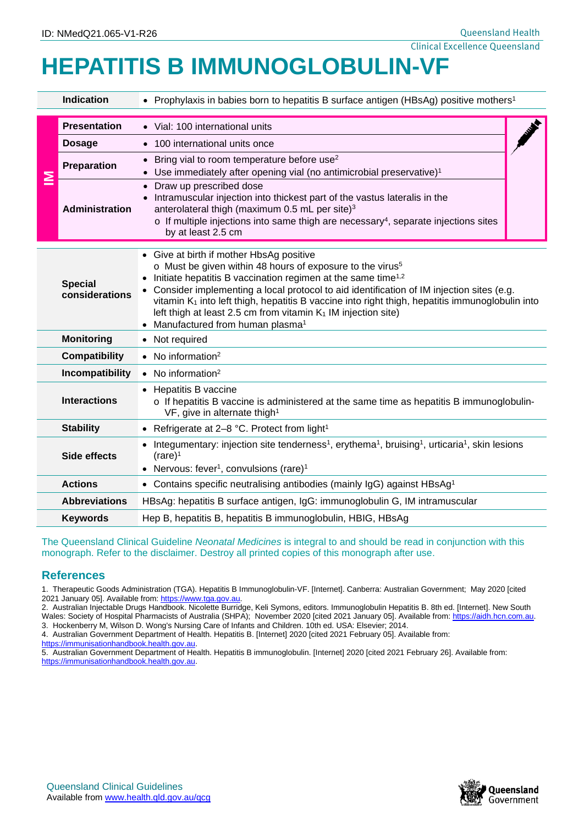## Clinical Excellence Queensland **HEPATITIS B IMMUNOGLOBULIN-VF**

| <b>Indication</b>                                                                                                                                                                                                                                                                                                                                                                                                                                                                                                                                                                                                                                                                                                                                                                                                                                                                                                            |                                                                                | • Prophylaxis in babies born to hepatitis B surface antigen (HBsAg) positive mothers <sup>1</sup>                                                                                                                                                                                                                                                                                                                                                                                                                           |  |  |  |  |  |
|------------------------------------------------------------------------------------------------------------------------------------------------------------------------------------------------------------------------------------------------------------------------------------------------------------------------------------------------------------------------------------------------------------------------------------------------------------------------------------------------------------------------------------------------------------------------------------------------------------------------------------------------------------------------------------------------------------------------------------------------------------------------------------------------------------------------------------------------------------------------------------------------------------------------------|--------------------------------------------------------------------------------|-----------------------------------------------------------------------------------------------------------------------------------------------------------------------------------------------------------------------------------------------------------------------------------------------------------------------------------------------------------------------------------------------------------------------------------------------------------------------------------------------------------------------------|--|--|--|--|--|
| ≧                                                                                                                                                                                                                                                                                                                                                                                                                                                                                                                                                                                                                                                                                                                                                                                                                                                                                                                            | <b>Presentation</b><br><b>Dosage</b>                                           | • Vial: 100 international units<br>100 international units once<br>$\bullet$                                                                                                                                                                                                                                                                                                                                                                                                                                                |  |  |  |  |  |
|                                                                                                                                                                                                                                                                                                                                                                                                                                                                                                                                                                                                                                                                                                                                                                                                                                                                                                                              | Preparation                                                                    | Bring vial to room temperature before use <sup>2</sup><br>Use immediately after opening vial (no antimicrobial preservative) <sup>1</sup>                                                                                                                                                                                                                                                                                                                                                                                   |  |  |  |  |  |
|                                                                                                                                                                                                                                                                                                                                                                                                                                                                                                                                                                                                                                                                                                                                                                                                                                                                                                                              | <b>Administration</b>                                                          | Draw up prescribed dose<br>$\bullet$<br>Intramuscular injection into thickest part of the vastus lateralis in the<br>anterolateral thigh (maximum 0.5 mL per site) <sup>3</sup><br>$\circ$ If multiple injections into same thigh are necessary <sup>4</sup> , separate injections sites<br>by at least 2.5 cm                                                                                                                                                                                                              |  |  |  |  |  |
| <b>Special</b><br>considerations                                                                                                                                                                                                                                                                                                                                                                                                                                                                                                                                                                                                                                                                                                                                                                                                                                                                                             |                                                                                | • Give at birth if mother HbsAg positive<br>o Must be given within 48 hours of exposure to the virus <sup>5</sup><br>Initiate hepatitis B vaccination regimen at the same time <sup>1,2</sup><br>Consider implementing a local protocol to aid identification of IM injection sites (e.g.<br>vitamin K <sub>1</sub> into left thigh, hepatitis B vaccine into right thigh, hepatitis immunoglobulin into<br>left thigh at least 2.5 cm from vitamin $K_1$ IM injection site)<br>Manufactured from human plasma <sup>1</sup> |  |  |  |  |  |
|                                                                                                                                                                                                                                                                                                                                                                                                                                                                                                                                                                                                                                                                                                                                                                                                                                                                                                                              | <b>Monitoring</b>                                                              | • Not required                                                                                                                                                                                                                                                                                                                                                                                                                                                                                                              |  |  |  |  |  |
| <b>Compatibility</b>                                                                                                                                                                                                                                                                                                                                                                                                                                                                                                                                                                                                                                                                                                                                                                                                                                                                                                         |                                                                                | $\bullet$ No information <sup>2</sup>                                                                                                                                                                                                                                                                                                                                                                                                                                                                                       |  |  |  |  |  |
| Incompatibility                                                                                                                                                                                                                                                                                                                                                                                                                                                                                                                                                                                                                                                                                                                                                                                                                                                                                                              |                                                                                | $\bullet$ No information <sup>2</sup>                                                                                                                                                                                                                                                                                                                                                                                                                                                                                       |  |  |  |  |  |
| <b>Interactions</b>                                                                                                                                                                                                                                                                                                                                                                                                                                                                                                                                                                                                                                                                                                                                                                                                                                                                                                          |                                                                                | • Hepatitis B vaccine<br>$\circ$ If hepatitis B vaccine is administered at the same time as hepatitis B immunoglobulin-<br>VF, give in alternate thigh <sup>1</sup>                                                                                                                                                                                                                                                                                                                                                         |  |  |  |  |  |
| <b>Stability</b>                                                                                                                                                                                                                                                                                                                                                                                                                                                                                                                                                                                                                                                                                                                                                                                                                                                                                                             |                                                                                | • Refrigerate at 2-8 °C. Protect from light <sup>1</sup>                                                                                                                                                                                                                                                                                                                                                                                                                                                                    |  |  |  |  |  |
| Side effects                                                                                                                                                                                                                                                                                                                                                                                                                                                                                                                                                                                                                                                                                                                                                                                                                                                                                                                 |                                                                                | • Integumentary: injection site tenderness <sup>1</sup> , erythema <sup>1</sup> , bruising <sup>1</sup> , urticaria <sup>1</sup> , skin lesions<br>$(\text{rare})^1$<br>• Nervous: fever <sup>1</sup> , convulsions (rare) <sup>1</sup>                                                                                                                                                                                                                                                                                     |  |  |  |  |  |
| <b>Actions</b>                                                                                                                                                                                                                                                                                                                                                                                                                                                                                                                                                                                                                                                                                                                                                                                                                                                                                                               |                                                                                | • Contains specific neutralising antibodies (mainly IgG) against HBsAg <sup>1</sup>                                                                                                                                                                                                                                                                                                                                                                                                                                         |  |  |  |  |  |
| <b>Abbreviations</b>                                                                                                                                                                                                                                                                                                                                                                                                                                                                                                                                                                                                                                                                                                                                                                                                                                                                                                         |                                                                                | HBsAg: hepatitis B surface antigen, IgG: immunoglobulin G, IM intramuscular                                                                                                                                                                                                                                                                                                                                                                                                                                                 |  |  |  |  |  |
|                                                                                                                                                                                                                                                                                                                                                                                                                                                                                                                                                                                                                                                                                                                                                                                                                                                                                                                              | Hep B, hepatitis B, hepatitis B immunoglobulin, HBIG, HBsAg<br><b>Keywords</b> |                                                                                                                                                                                                                                                                                                                                                                                                                                                                                                                             |  |  |  |  |  |
| The Queensland Clinical Guideline Neonatal Medicines is integral to and should be read in conjunction with this<br>monograph. Refer to the disclaimer. Destroy all printed copies of this monograph after use.                                                                                                                                                                                                                                                                                                                                                                                                                                                                                                                                                                                                                                                                                                               |                                                                                |                                                                                                                                                                                                                                                                                                                                                                                                                                                                                                                             |  |  |  |  |  |
| <b>References</b>                                                                                                                                                                                                                                                                                                                                                                                                                                                                                                                                                                                                                                                                                                                                                                                                                                                                                                            |                                                                                |                                                                                                                                                                                                                                                                                                                                                                                                                                                                                                                             |  |  |  |  |  |
| 1. Therapeutic Goods Administration (TGA). Hepatitis B Immunoglobulin-VF. [Internet]. Canberra: Australian Government; May 2020 [cited<br>2021 January 05]. Available from: https://www.tga.gov.au.<br>2. Australian Injectable Drugs Handbook. Nicolette Burridge, Keli Symons, editors. Immunoglobulin Hepatitis B. 8th ed. [Internet]. New South<br>Wales: Society of Hospital Pharmacists of Australia (SHPA); November 2020 [cited 2021 January 05]. Available from: https://aidh.hcn.com.au.<br>3. Hockenberry M, Wilson D. Wong's Nursing Care of Infants and Children. 10th ed. USA: Elsevier; 2014.<br>4. Australian Government Department of Health. Hepatitis B. [Internet] 2020 [cited 2021 February 05]. Available from:<br>https://immunisationhandbook.health.gov.au.<br>5. Australian Government Department of Health. Hepatitis B immunoglobulin. [Internet] 2020 [cited 2021 February 26]. Available from: |                                                                                |                                                                                                                                                                                                                                                                                                                                                                                                                                                                                                                             |  |  |  |  |  |
| https://immunisationhandbook.health.gov.au.                                                                                                                                                                                                                                                                                                                                                                                                                                                                                                                                                                                                                                                                                                                                                                                                                                                                                  |                                                                                |                                                                                                                                                                                                                                                                                                                                                                                                                                                                                                                             |  |  |  |  |  |

## **References**